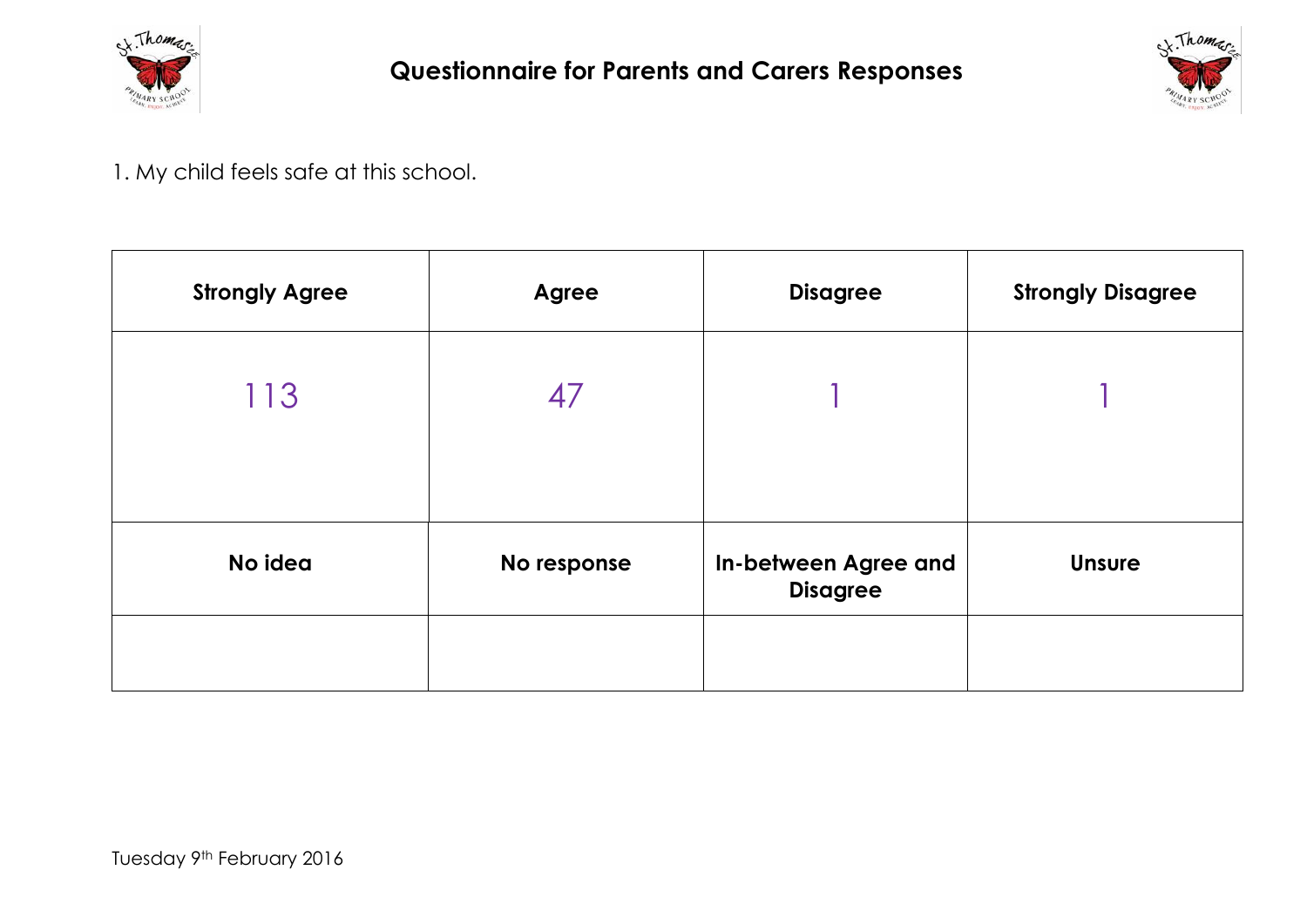



1. My child feels safe at this school.

| <b>Strongly Agree</b> | Agree       | <b>Disagree</b>                         | <b>Strongly Disagree</b> |
|-----------------------|-------------|-----------------------------------------|--------------------------|
| 113                   | 47          |                                         |                          |
| No idea               | No response | In-between Agree and<br><b>Disagree</b> | <b>Unsure</b>            |
|                       |             |                                         |                          |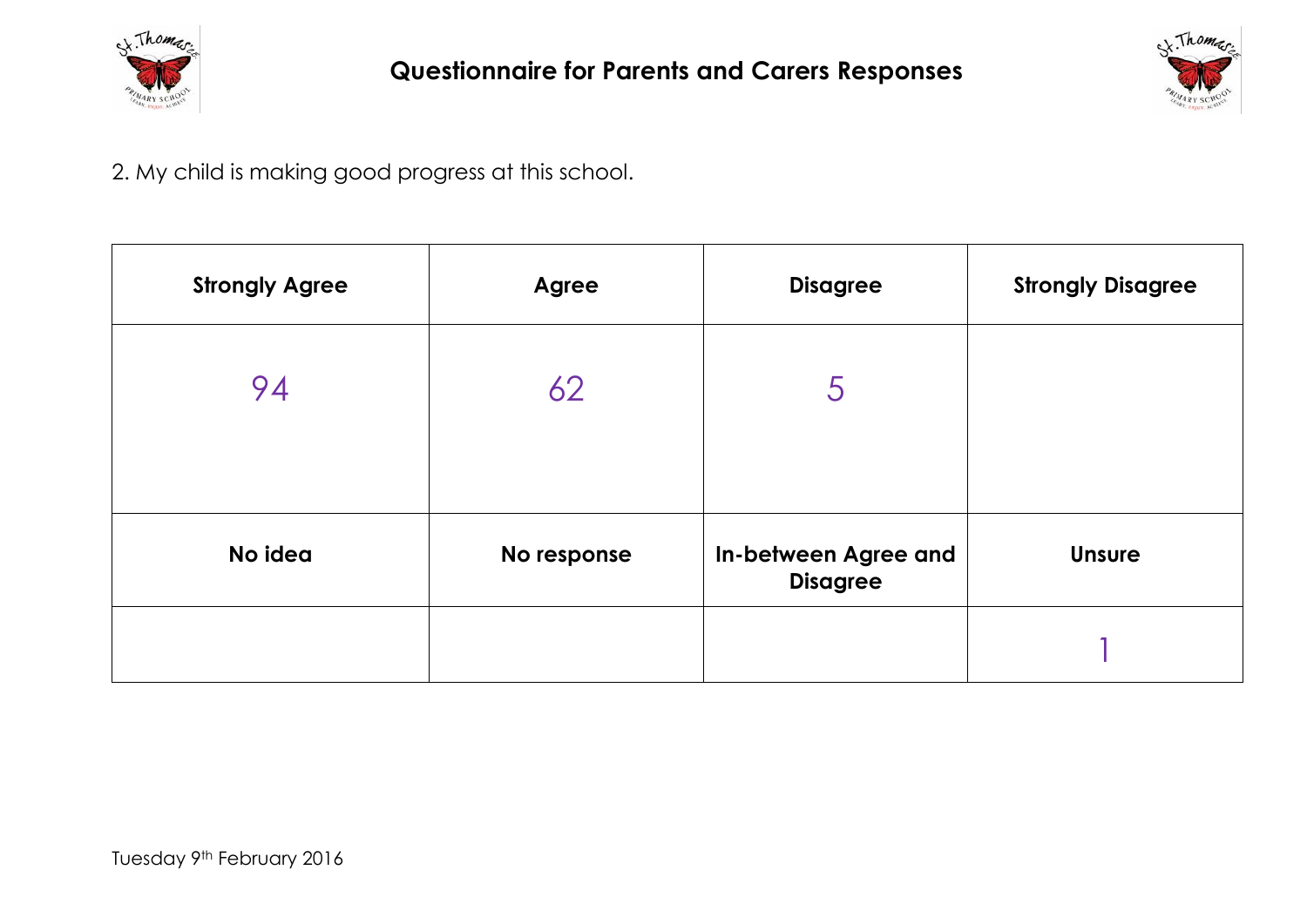



2. My child is making good progress at this school.

| <b>Strongly Agree</b> | Agree       | <b>Disagree</b>                         | <b>Strongly Disagree</b> |
|-----------------------|-------------|-----------------------------------------|--------------------------|
| 94                    | 62          | 5                                       |                          |
| No idea               | No response | In-between Agree and<br><b>Disagree</b> | <b>Unsure</b>            |
|                       |             |                                         |                          |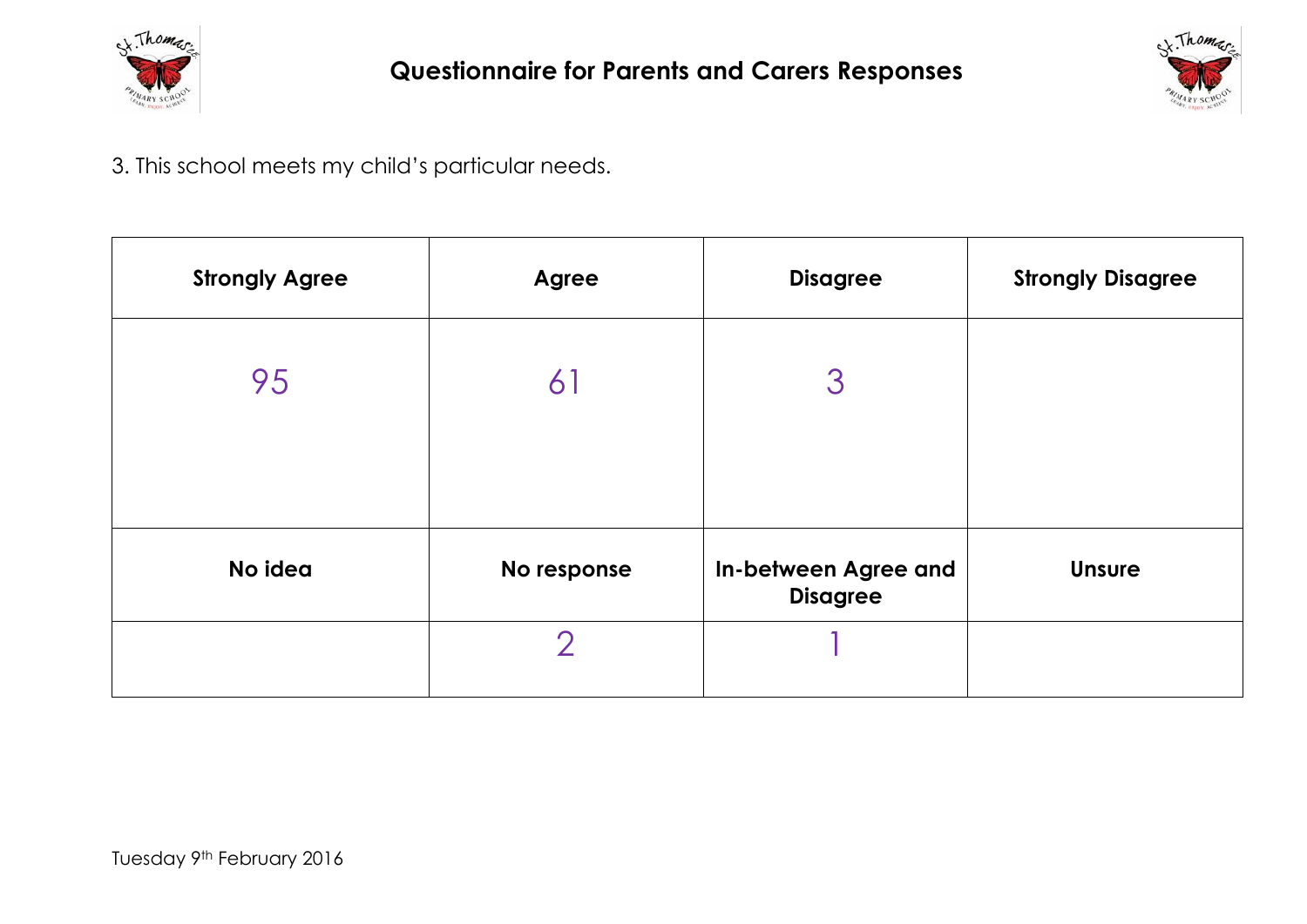



3. This school meets my child's particular needs.

| <b>Strongly Agree</b> | Agree       | <b>Disagree</b>                         | <b>Strongly Disagree</b> |
|-----------------------|-------------|-----------------------------------------|--------------------------|
| 95                    | 61          | 3                                       |                          |
| No idea               | No response | In-between Agree and<br><b>Disagree</b> | <b>Unsure</b>            |
|                       | $\bigcap$   |                                         |                          |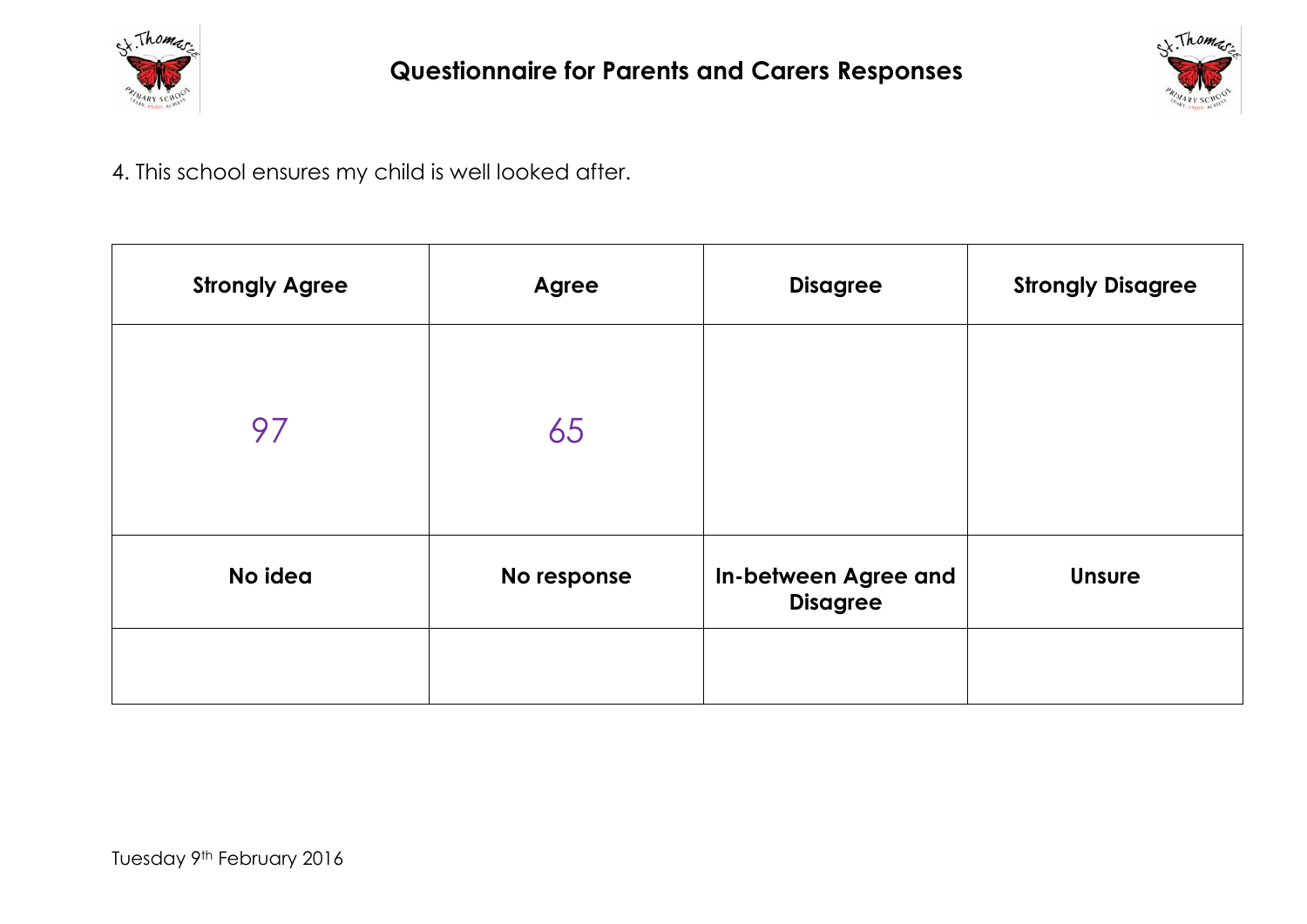



4. This school ensures my child is well looked after.

| <b>Strongly Agree</b> | Agree       | <b>Disagree</b>                         | <b>Strongly Disagree</b> |
|-----------------------|-------------|-----------------------------------------|--------------------------|
| 97                    | 65          |                                         |                          |
| No idea               | No response | In-between Agree and<br><b>Disagree</b> | <b>Unsure</b>            |
|                       |             |                                         |                          |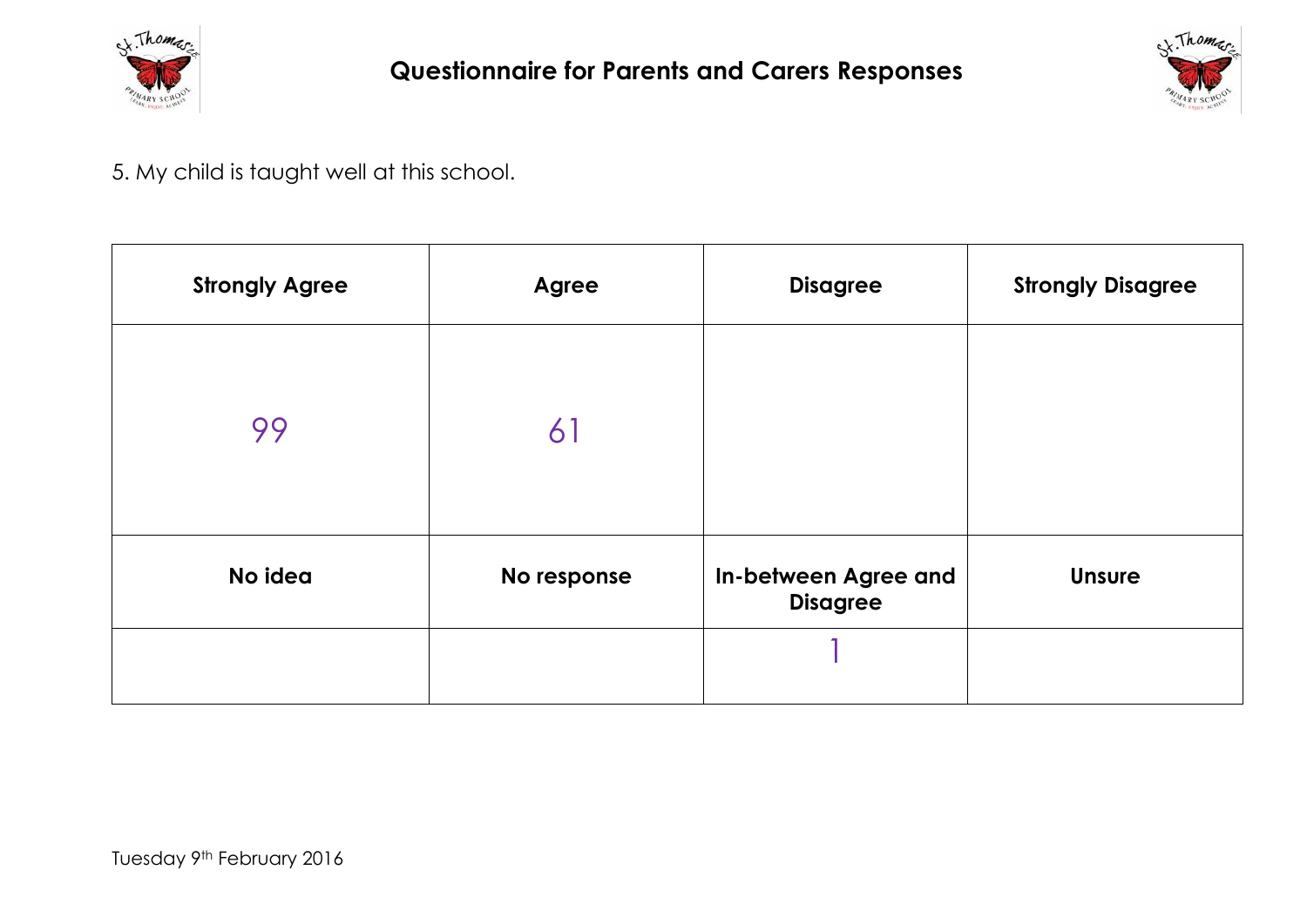



5. My child is taught well at this school.

| <b>Strongly Agree</b> | Agree       | <b>Disagree</b>                         | <b>Strongly Disagree</b> |
|-----------------------|-------------|-----------------------------------------|--------------------------|
| 99                    | 61          |                                         |                          |
| No idea               | No response | In-between Agree and<br><b>Disagree</b> | <b>Unsure</b>            |
|                       |             |                                         |                          |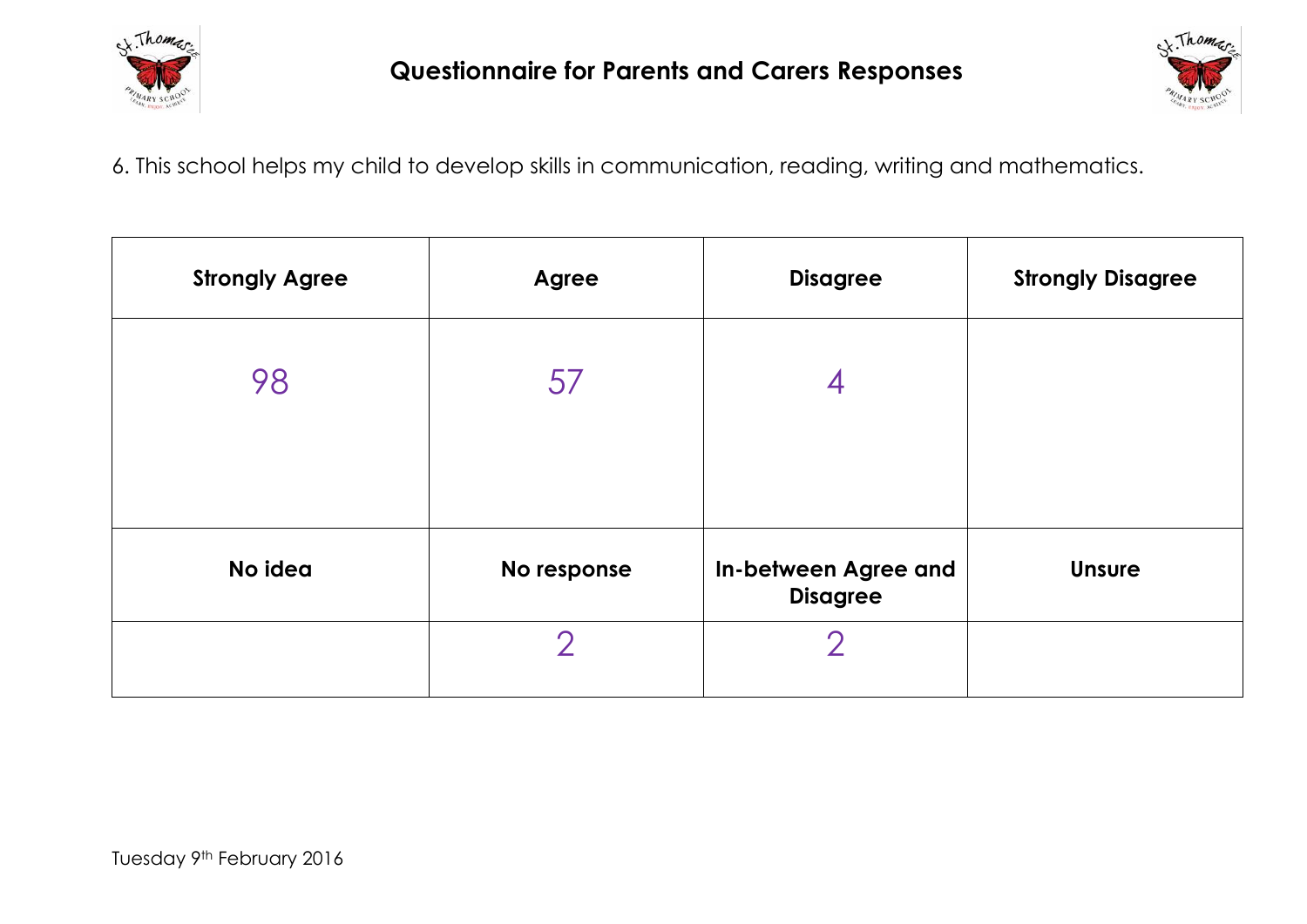



6. This school helps my child to develop skills in communication, reading, writing and mathematics.

| <b>Strongly Agree</b> | Agree       | <b>Disagree</b>                         | <b>Strongly Disagree</b> |
|-----------------------|-------------|-----------------------------------------|--------------------------|
| 98                    | 57          |                                         |                          |
| No idea               | No response | In-between Agree and<br><b>Disagree</b> | <b>Unsure</b>            |
|                       | ⌒           | $\mathcal{P}$                           |                          |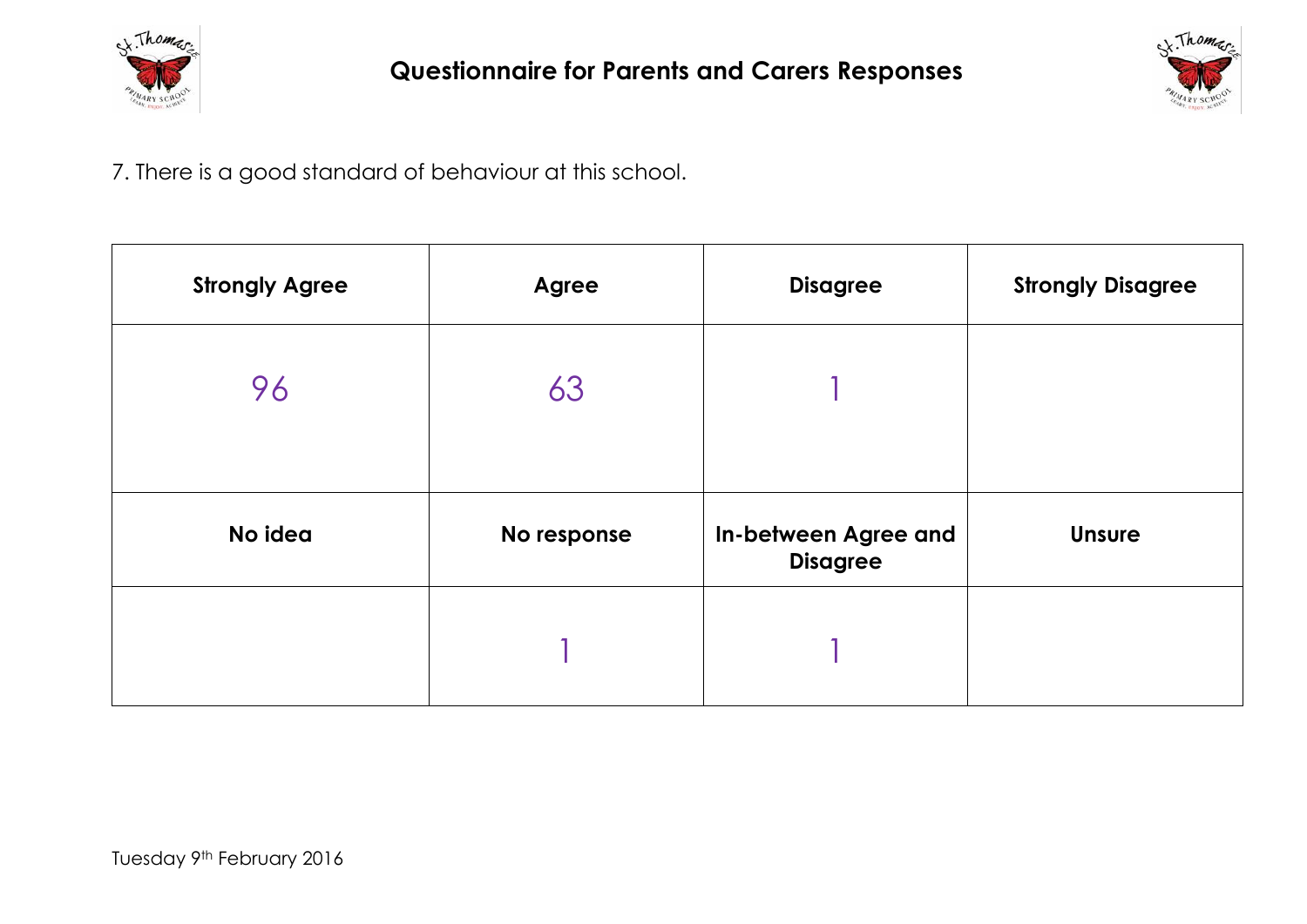



7. There is a good standard of behaviour at this school.

| <b>Strongly Agree</b> | Agree       | <b>Disagree</b>                         | <b>Strongly Disagree</b> |
|-----------------------|-------------|-----------------------------------------|--------------------------|
| 96                    | 63          |                                         |                          |
| No idea               | No response | In-between Agree and<br><b>Disagree</b> | <b>Unsure</b>            |
|                       |             |                                         |                          |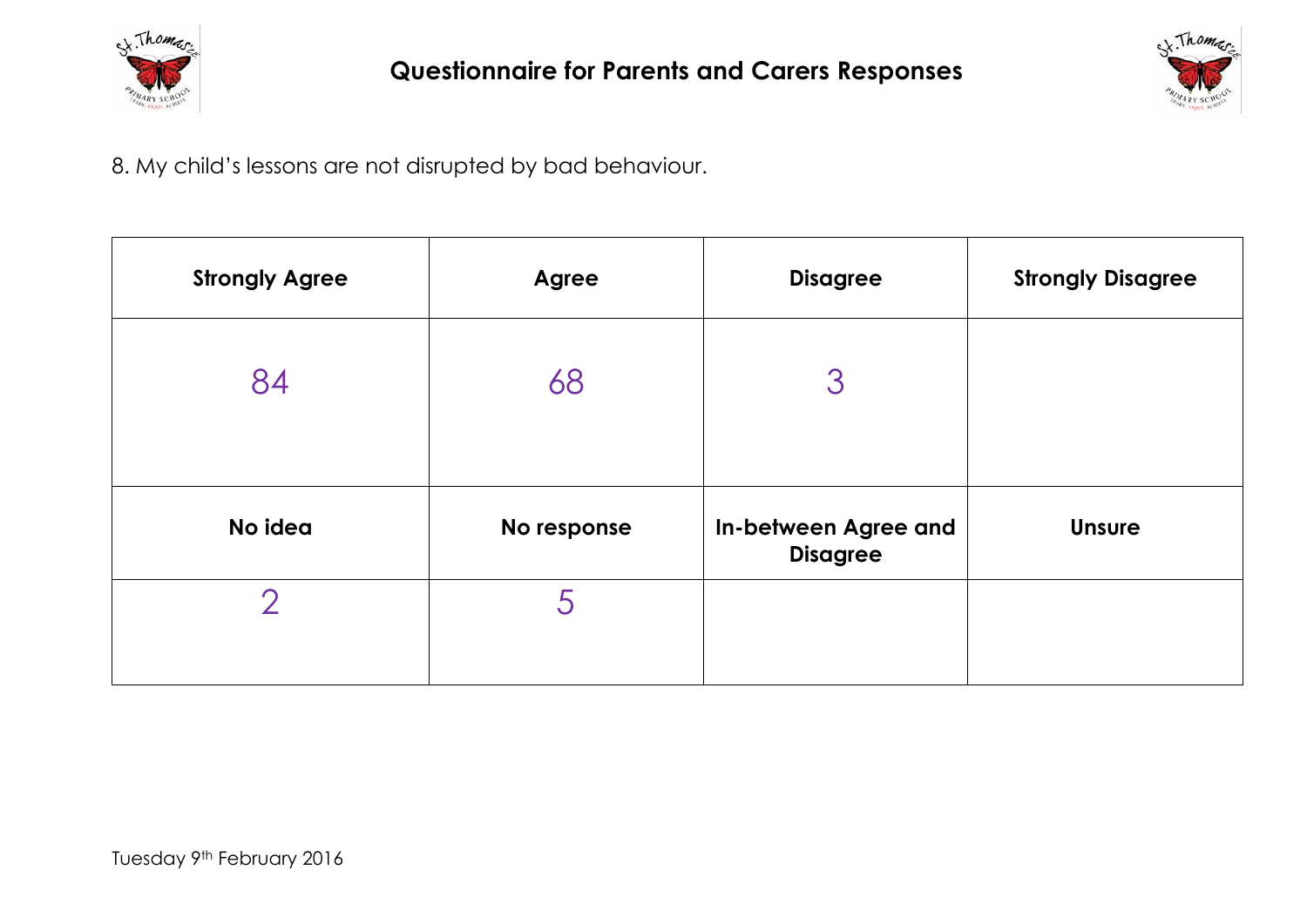



8. My child's lessons are not disrupted by bad behaviour.

| <b>Strongly Agree</b> | Agree       | <b>Disagree</b>                         | <b>Strongly Disagree</b> |
|-----------------------|-------------|-----------------------------------------|--------------------------|
| 84                    | 68          | 3                                       |                          |
| No idea               | No response | In-between Agree and<br><b>Disagree</b> | <b>Unsure</b>            |
| $\mathcal{P}$         | 5           |                                         |                          |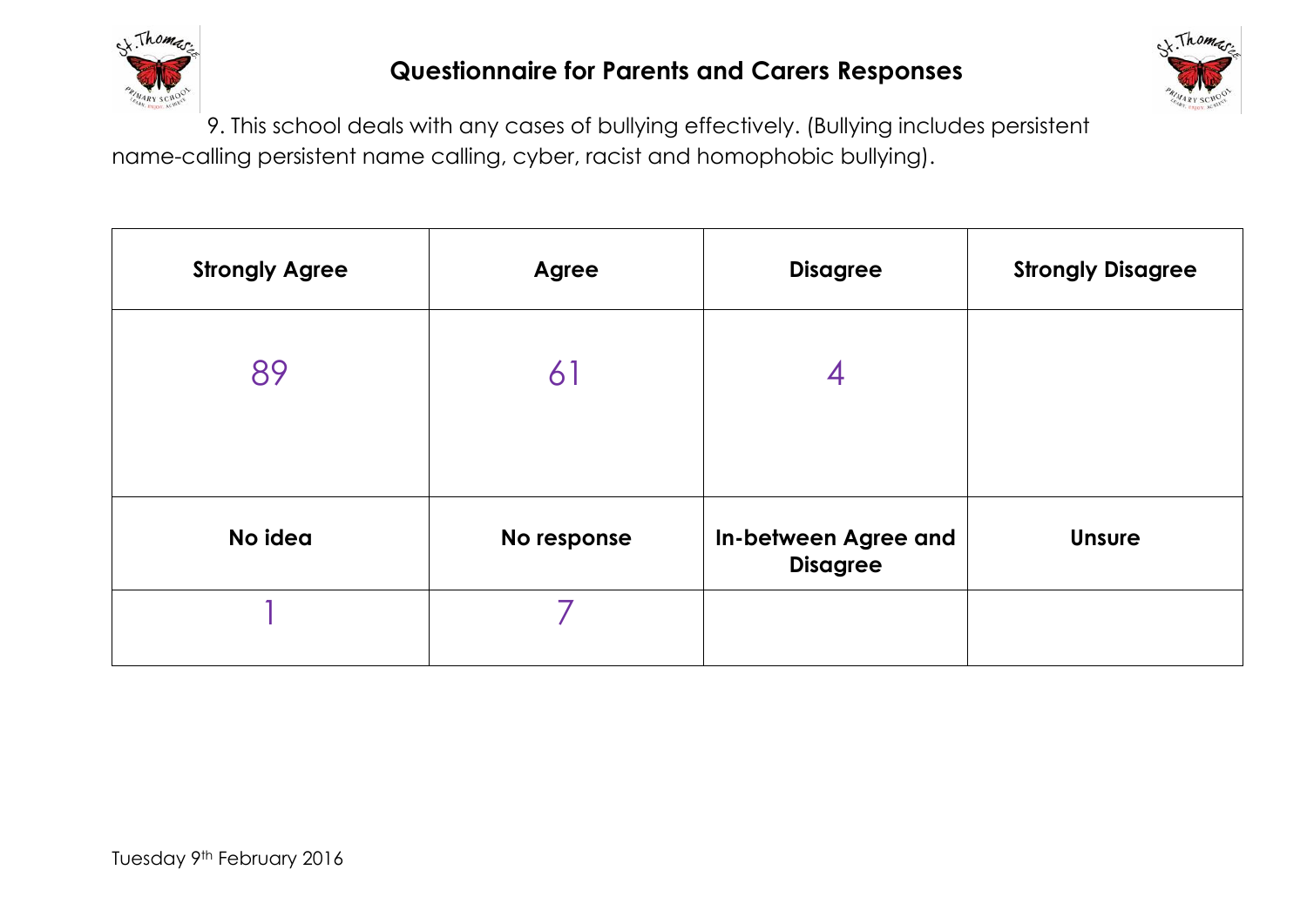

## **Questionnaire for Parents and Carers Responses**



9. This school deals with any cases of bullying effectively. (Bullying includes persistent name-calling persistent name calling, cyber, racist and homophobic bullying).

| <b>Strongly Agree</b> | Agree       | <b>Disagree</b>                         | <b>Strongly Disagree</b> |
|-----------------------|-------------|-----------------------------------------|--------------------------|
| 89                    | 61          | 4                                       |                          |
|                       |             |                                         |                          |
| No idea               | No response | In-between Agree and<br><b>Disagree</b> | <b>Unsure</b>            |
|                       |             |                                         |                          |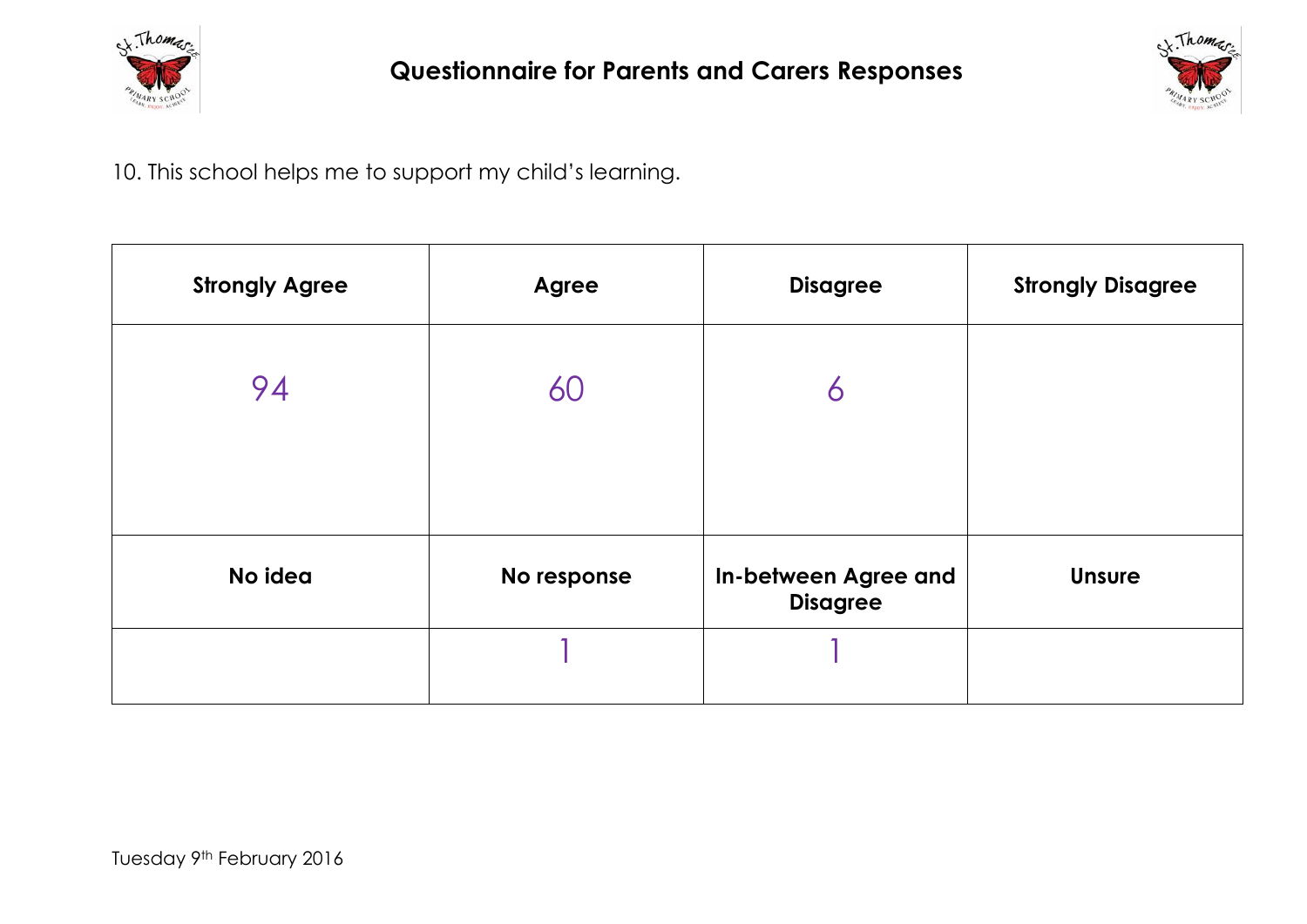



10. This school helps me to support my child's learning.

| <b>Strongly Agree</b> | Agree       | <b>Disagree</b>                         | <b>Strongly Disagree</b> |
|-----------------------|-------------|-----------------------------------------|--------------------------|
| 94                    | 60          | 6                                       |                          |
| No idea               | No response | In-between Agree and<br><b>Disagree</b> | <b>Unsure</b>            |
|                       |             |                                         |                          |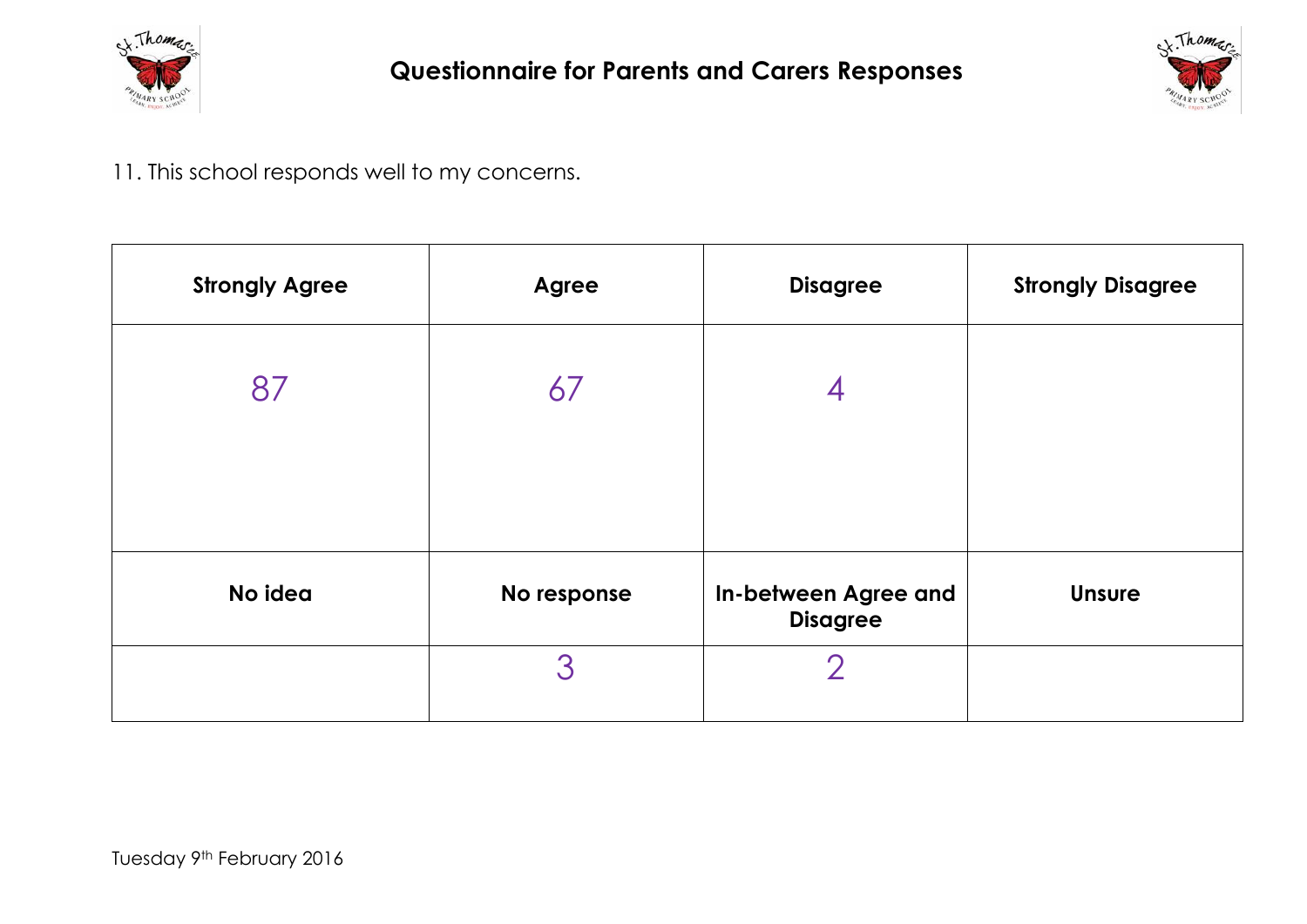



## 11. This school responds well to my concerns.

| <b>Strongly Agree</b> | Agree       | <b>Disagree</b>      | <b>Strongly Disagree</b> |
|-----------------------|-------------|----------------------|--------------------------|
| 87                    | 67          | 4                    |                          |
|                       |             |                      |                          |
| No idea               | No response | In-between Agree and | <b>Unsure</b>            |
|                       |             | <b>Disagree</b>      |                          |
|                       | 3           | $\mathcal{P}$        |                          |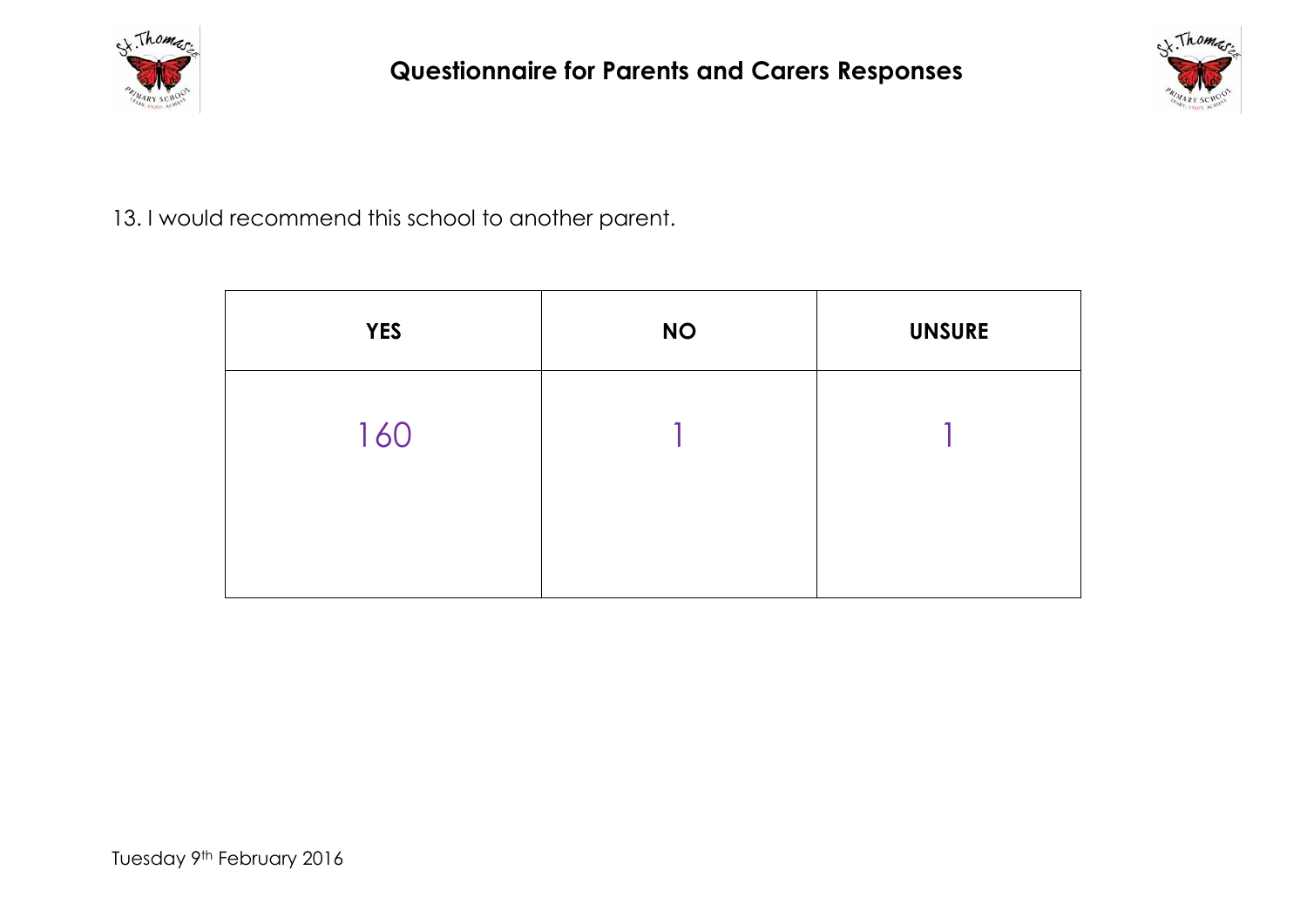



13. I would recommend this school to another parent.

| <b>YES</b> | <b>NO</b> | <b>UNSURE</b> |
|------------|-----------|---------------|
| 160        |           |               |
|            |           |               |